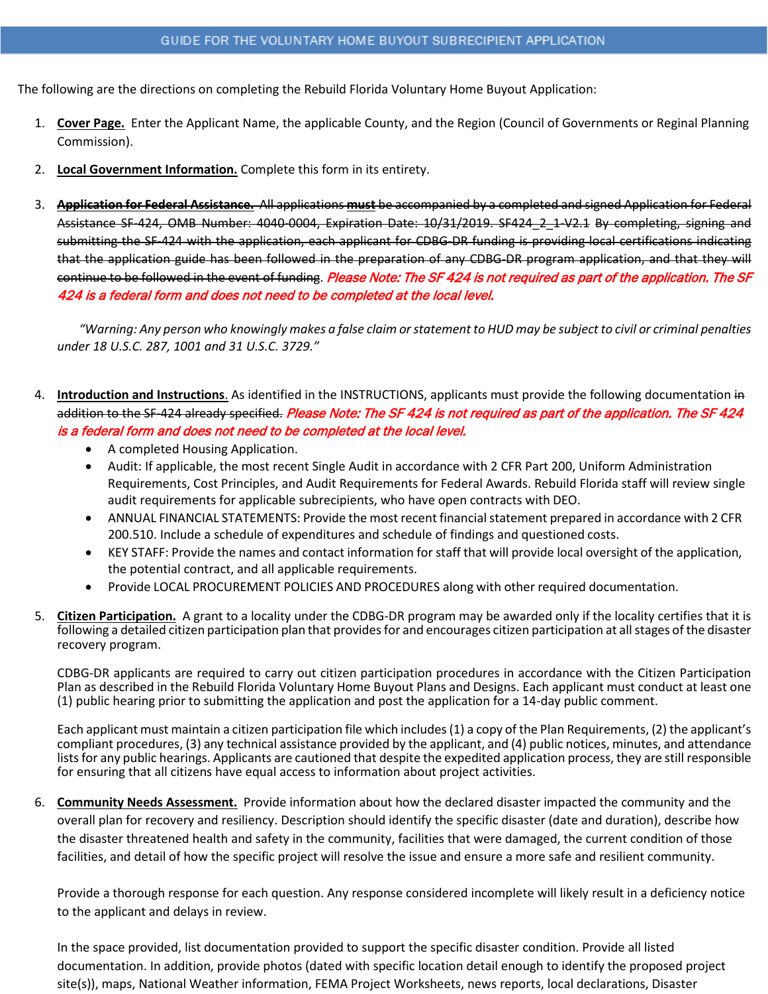The following are the directions on completing the Rebuild Florida Voluntary Home Buyout Application:

- 1. **Cover Page.** Enter the Applicant Name, the applicable County, and the Region (Council of Governments or Reginal Planning Commission).
- 2. **Local Government Information.** Complete this form in its entirety.
- 3. **Application for Federal Assistance.** All applications **must** be accompanied by a completed and signed Application for Federal Assistance SF-424, OMB Number: 4040-0004, Expiration Date: 10/31/2019. SF424\_2\_1-V2.1 By completing, signing and submitting the SF-424 with the application, each applicant for CDBG-DR funding is providing local certifications indicating that the application guide has been followed in the preparation of any CDBG-DR program application, and that they will continue to be followed in the event of funding. Please Note: The SF 424 is not required as part of the application. The SF 424 is a federal form and does not need to be completed at the local level.

 *"Warning: Any person who knowingly makes a false claim or statement to HUD may be subject to civil or criminal penalties under 18 U.S.C. 287, 1001 and 31 U.S.C. 3729."*

- 4. **Introduction and Instructions**. As identified in the INSTRUCTIONS, applicants must provide the following documentation in addition to the SF-424 already specified. Please Note: The SF 424 is not required as part of the application. The SF 424 is a federal form and does not need to be completed at the local level.
	- A completed Housing Application.
	- Audit: If applicable, the most recent Single Audit in accordance with 2 CFR Part 200, Uniform Administration Requirements, Cost Principles, and Audit Requirements for Federal Awards. Rebuild Florida staff will review single audit requirements for applicable subrecipients, who have open contracts with DEO.
	- ANNUAL FINANCIAL STATEMENTS: Provide the most recent financial statement prepared in accordance with 2 CFR 200.510. Include a schedule of expenditures and schedule of findings and questioned costs.
	- KEY STAFF: Provide the names and contact information for staff that will provide local oversight of the application, the potential contract, and all applicable requirements.
	- Provide LOCAL PROCUREMENT POLICIES AND PROCEDURES along with other required documentation.
- 5. **Citizen Participation.** A grant to a locality under the CDBG-DR program may be awarded only if the locality certifies that it is following a detailed citizen participation plan that provides for and encourages citizen participation at all stages of the disaster recovery program.

CDBG-DR applicants are required to carry out citizen participation procedures in accordance with the Citizen Participation Plan as described in the Rebuild Florida Voluntary Home Buyout Plans and Designs. Each applicant must conduct at least one (1) public hearing prior to submitting the application and post the application for a 14-day public comment.

Each applicant must maintain a citizen participation file which includes (1) a copy of the Plan Requirements, (2) the applicant's compliant procedures, (3) any technical assistance provided by the applicant, and (4) public notices, minutes, and attendance lists for any public hearings. Applicants are cautioned that despite the expedited application process, they are still responsible for ensuring that all citizens have equal access to information about project activities.

6. **Community Needs Assessment.** Provide information about how the declared disaster impacted the community and the overall plan for recovery and resiliency. Description should identify the specific disaster (date and duration), describe how the disaster threatened health and safety in the community, facilities that were damaged, the current condition of those facilities, and detail of how the specific project will resolve the issue and ensure a more safe and resilient community.

Provide a thorough response for each question. Any response considered incomplete will likely result in a deficiency notice to the applicant and delays in review.

In the space provided, list documentation provided to support the specific disaster condition. Provide all listed documentation. In addition, provide photos (dated with specific location detail enough to identify the proposed project site(s)), maps, National Weather information, FEMA Project Worksheets, news reports, local declarations, Disaster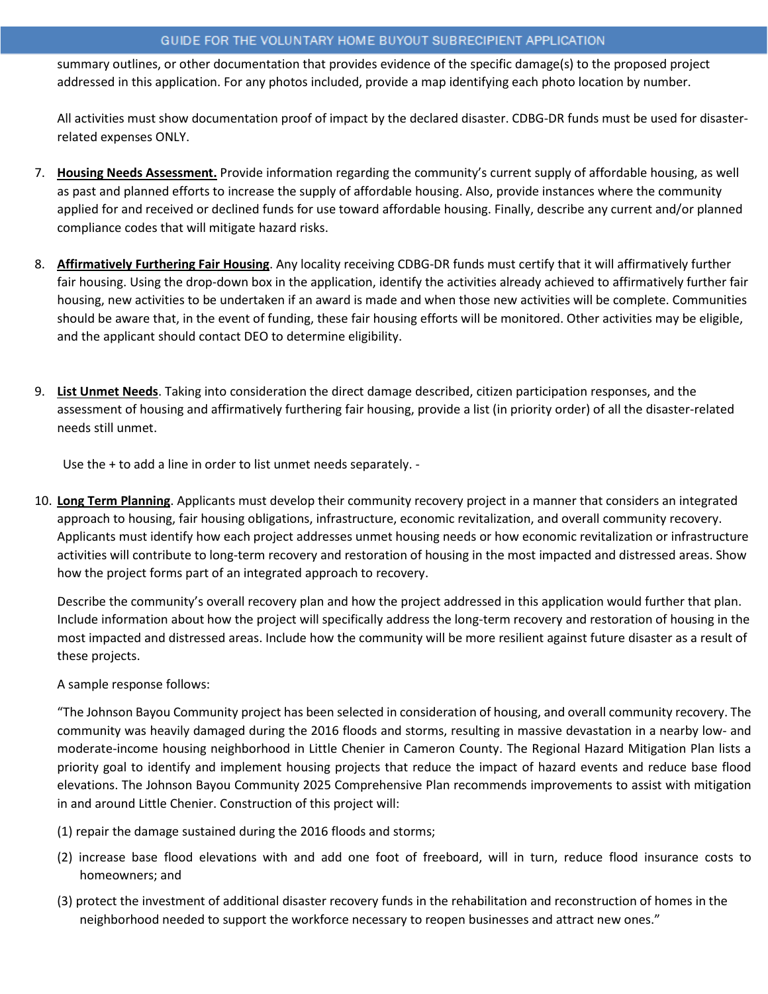summary outlines, or other documentation that provides evidence of the specific damage(s) to the proposed project addressed in this application. For any photos included, provide a map identifying each photo location by number.

All activities must show documentation proof of impact by the declared disaster. CDBG-DR funds must be used for disasterrelated expenses ONLY.

- 7. **Housing Needs Assessment.** Provide information regarding the community's current supply of affordable housing, as well as past and planned efforts to increase the supply of affordable housing. Also, provide instances where the community applied for and received or declined funds for use toward affordable housing. Finally, describe any current and/or planned compliance codes that will mitigate hazard risks.
- 8. **Affirmatively Furthering Fair Housing**. Any locality receiving CDBG-DR funds must certify that it will affirmatively further fair housing. Using the drop-down box in the application, identify the activities already achieved to affirmatively further fair housing, new activities to be undertaken if an award is made and when those new activities will be complete. Communities should be aware that, in the event of funding, these fair housing efforts will be monitored. Other activities may be eligible, and the applicant should contact DEO to determine eligibility.
- 9. **List Unmet Needs**. Taking into consideration the direct damage described, citizen participation responses, and the assessment of housing and affirmatively furthering fair housing, provide a list (in priority order) of all the disaster-related needs still unmet.

Use the + to add a line in order to list unmet needs separately. -

10. **Long Term Planning**. Applicants must develop their community recovery project in a manner that considers an integrated approach to housing, fair housing obligations, infrastructure, economic revitalization, and overall community recovery. Applicants must identify how each project addresses unmet housing needs or how economic revitalization or infrastructure activities will contribute to long-term recovery and restoration of housing in the most impacted and distressed areas. Show how the project forms part of an integrated approach to recovery.

Describe the community's overall recovery plan and how the project addressed in this application would further that plan. Include information about how the project will specifically address the long-term recovery and restoration of housing in the most impacted and distressed areas. Include how the community will be more resilient against future disaster as a result of these projects.

# A sample response follows:

"The Johnson Bayou Community project has been selected in consideration of housing, and overall community recovery. The community was heavily damaged during the 2016 floods and storms, resulting in massive devastation in a nearby low- and moderate-income housing neighborhood in Little Chenier in Cameron County. The Regional Hazard Mitigation Plan lists a priority goal to identify and implement housing projects that reduce the impact of hazard events and reduce base flood elevations. The Johnson Bayou Community 2025 Comprehensive Plan recommends improvements to assist with mitigation in and around Little Chenier. Construction of this project will:

- (1) repair the damage sustained during the 2016 floods and storms;
- (2) increase base flood elevations with and add one foot of freeboard, will in turn, reduce flood insurance costs to homeowners; and
- (3) protect the investment of additional disaster recovery funds in the rehabilitation and reconstruction of homes in the neighborhood needed to support the workforce necessary to reopen businesses and attract new ones."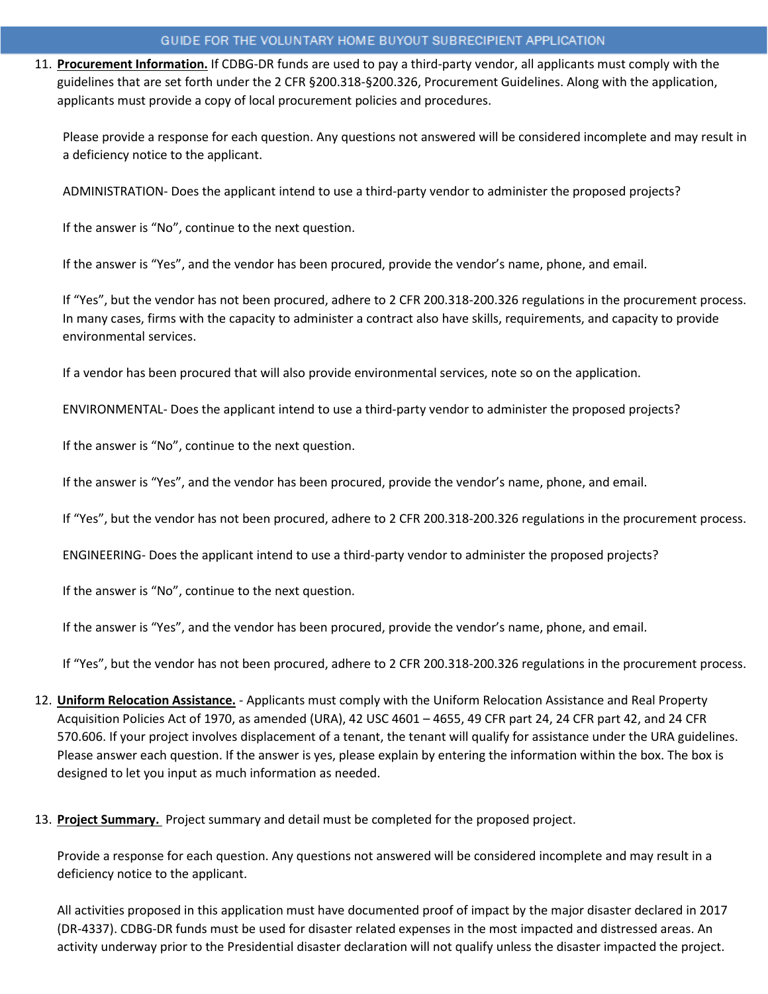11. **Procurement Information.** If CDBG-DR funds are used to pay a third-party vendor, all applicants must comply with the guidelines that are set forth under the 2 CFR §200.318-§200.326, Procurement Guidelines. Along with the application, applicants must provide a copy of local procurement policies and procedures.

Please provide a response for each question. Any questions not answered will be considered incomplete and may result in a deficiency notice to the applicant.

ADMINISTRATION- Does the applicant intend to use a third-party vendor to administer the proposed projects?

If the answer is "No", continue to the next question.

If the answer is "Yes", and the vendor has been procured, provide the vendor's name, phone, and email.

If "Yes", but the vendor has not been procured, adhere to 2 CFR 200.318-200.326 regulations in the procurement process. In many cases, firms with the capacity to administer a contract also have skills, requirements, and capacity to provide environmental services.

If a vendor has been procured that will also provide environmental services, note so on the application.

ENVIRONMENTAL- Does the applicant intend to use a third-party vendor to administer the proposed projects?

If the answer is "No", continue to the next question.

If the answer is "Yes", and the vendor has been procured, provide the vendor's name, phone, and email.

If "Yes", but the vendor has not been procured, adhere to 2 CFR 200.318-200.326 regulations in the procurement process.

ENGINEERING- Does the applicant intend to use a third-party vendor to administer the proposed projects?

If the answer is "No", continue to the next question.

If the answer is "Yes", and the vendor has been procured, provide the vendor's name, phone, and email.

If "Yes", but the vendor has not been procured, adhere to 2 CFR 200.318-200.326 regulations in the procurement process.

- 12. **Uniform Relocation Assistance.** Applicants must comply with the Uniform Relocation Assistance and Real Property Acquisition Policies Act of 1970, as amended (URA), 42 USC 4601 – 4655, 49 CFR part 24, 24 CFR part 42, and 24 CFR 570.606. If your project involves displacement of a tenant, the tenant will qualify for assistance under the URA guidelines. Please answer each question. If the answer is yes, please explain by entering the information within the box. The box is designed to let you input as much information as needed.
- 13. **Project Summary.** Project summary and detail must be completed for the proposed project.

Provide a response for each question. Any questions not answered will be considered incomplete and may result in a deficiency notice to the applicant.

All activities proposed in this application must have documented proof of impact by the major disaster declared in 2017 (DR-4337). CDBG-DR funds must be used for disaster related expenses in the most impacted and distressed areas. An activity underway prior to the Presidential disaster declaration will not qualify unless the disaster impacted the project.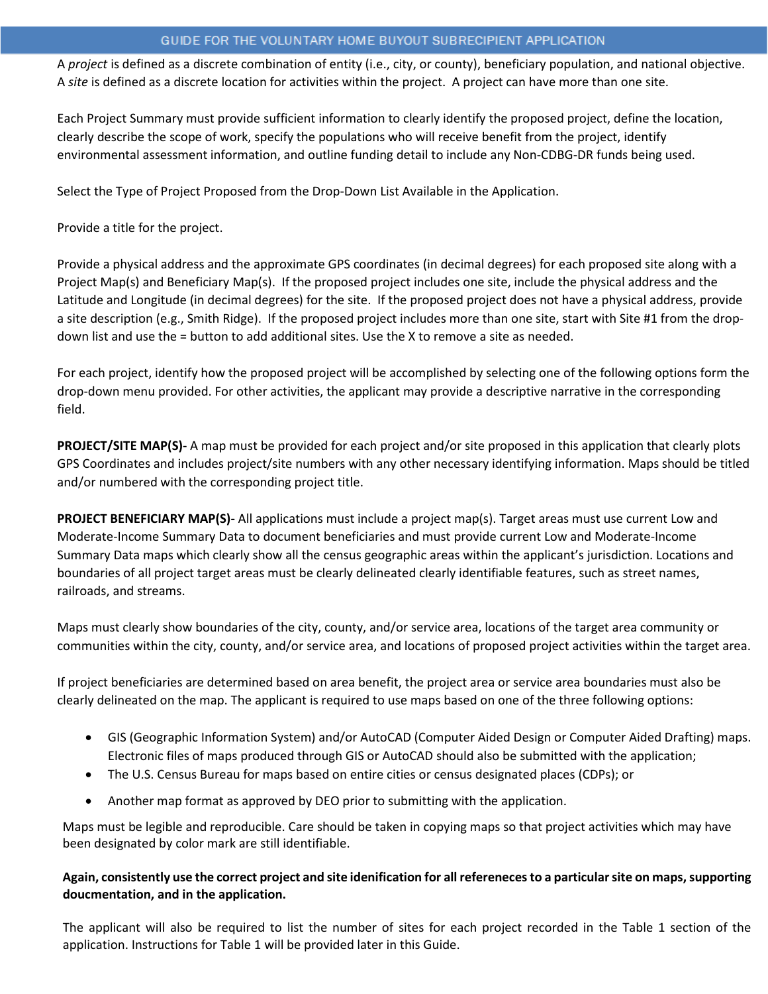A *project* is defined as a discrete combination of entity (i.e., city, or county), beneficiary population, and national objective. A *site* is defined as a discrete location for activities within the project. A project can have more than one site.

Each Project Summary must provide sufficient information to clearly identify the proposed project, define the location, clearly describe the scope of work, specify the populations who will receive benefit from the project, identify environmental assessment information, and outline funding detail to include any Non-CDBG-DR funds being used.

Select the Type of Project Proposed from the Drop-Down List Available in the Application.

Provide a title for the project.

Provide a physical address and the approximate GPS coordinates (in decimal degrees) for each proposed site along with a Project Map(s) and Beneficiary Map(s). If the proposed project includes one site, include the physical address and the Latitude and Longitude (in decimal degrees) for the site. If the proposed project does not have a physical address, provide a site description (e.g., Smith Ridge). If the proposed project includes more than one site, start with Site #1 from the dropdown list and use the = button to add additional sites. Use the X to remove a site as needed.

For each project, identify how the proposed project will be accomplished by selecting one of the following options form the drop-down menu provided. For other activities, the applicant may provide a descriptive narrative in the corresponding field.

**PROJECT/SITE MAP(S)-** A map must be provided for each project and/or site proposed in this application that clearly plots GPS Coordinates and includes project/site numbers with any other necessary identifying information. Maps should be titled and/or numbered with the corresponding project title.

**PROJECT BENEFICIARY MAP(S)-** All applications must include a project map(s). Target areas must use current Low and Moderate-Income Summary Data to document beneficiaries and must provide current Low and Moderate-Income Summary Data maps which clearly show all the census geographic areas within the applicant's jurisdiction. Locations and boundaries of all project target areas must be clearly delineated clearly identifiable features, such as street names, railroads, and streams.

Maps must clearly show boundaries of the city, county, and/or service area, locations of the target area community or communities within the city, county, and/or service area, and locations of proposed project activities within the target area.

If project beneficiaries are determined based on area benefit, the project area or service area boundaries must also be clearly delineated on the map. The applicant is required to use maps based on one of the three following options:

- GIS (Geographic Information System) and/or AutoCAD (Computer Aided Design or Computer Aided Drafting) maps. Electronic files of maps produced through GIS or AutoCAD should also be submitted with the application;
- The U.S. Census Bureau for maps based on entire cities or census designated places (CDPs); or
- Another map format as approved by DEO prior to submitting with the application.

Maps must be legible and reproducible. Care should be taken in copying maps so that project activities which may have been designated by color mark are still identifiable.

# **Again, consistently use the correct project and site idenification for all refereneces to a particular site on maps, supporting doucmentation, and in the application.**

The applicant will also be required to list the number of sites for each project recorded in the Table 1 section of the application. Instructions for Table 1 will be provided later in this Guide.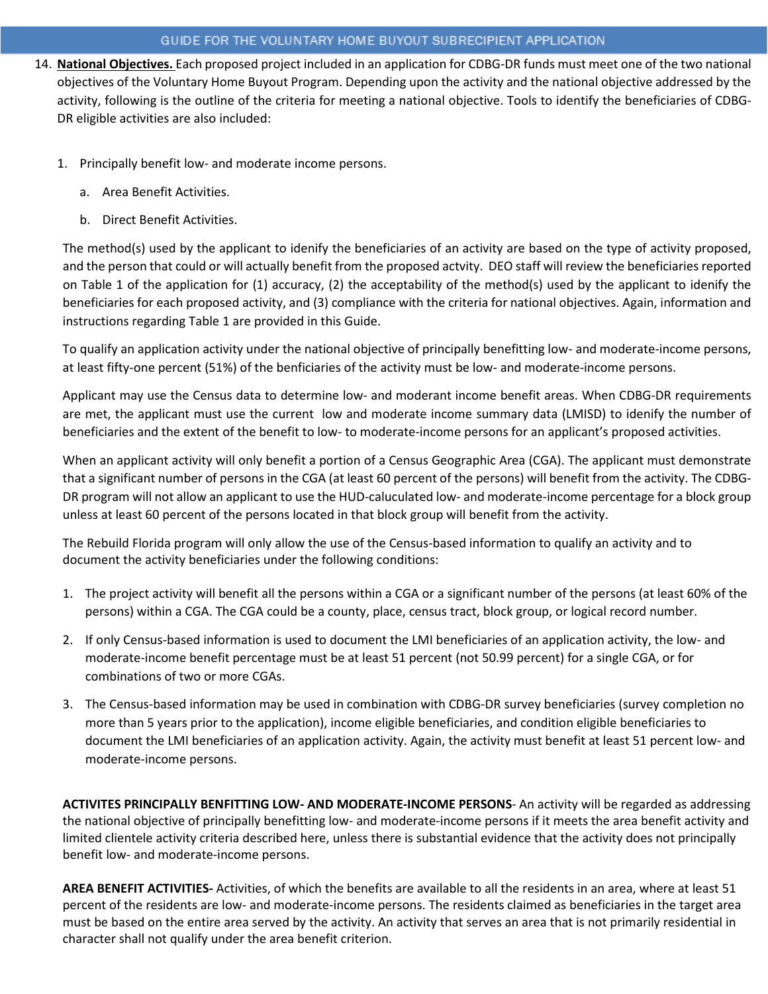- 14. **National Objectives.** Each proposed project included in an application for CDBG-DR funds must meet one of the two national objectives of the Voluntary Home Buyout Program. Depending upon the activity and the national objective addressed by the activity, following is the outline of the criteria for meeting a national objective. Tools to identify the beneficiaries of CDBG-DR eligible activities are also included:
	- 1. Principally benefit low- and moderate income persons.
		- a. Area Benefit Activities.
		- b. Direct Benefit Activities.

The method(s) used by the applicant to idenify the beneficiaries of an activity are based on the type of activity proposed, and the person that could or will actually benefit from the proposed actvity. DEO staff will review the beneficiaries reported on Table 1 of the application for (1) accuracy, (2) the acceptability of the method(s) used by the applicant to idenify the beneficiaries for each proposed activity, and (3) compliance with the criteria for national objectives. Again, information and instructions regarding Table 1 are provided in this Guide.

To qualify an application activity under the national objective of principally benefitting low- and moderate-income persons, at least fifty-one percent (51%) of the benficiaries of the activity must be low- and moderate-income persons.

Applicant may use the Census data to determine low- and moderant income benefit areas. When CDBG-DR requirements are met, the applicant must use the current low and moderate income summary data (LMISD) to idenify the number of beneficiaries and the extent of the benefit to low- to moderate-income persons for an applicant's proposed activities.

When an applicant activity will only benefit a portion of a Census Geographic Area (CGA). The applicant must demonstrate that a significant number of persons in the CGA (at least 60 percent of the persons) will benefit from the activity. The CDBG-DR program will not allow an applicant to use the HUD-caluculated low- and moderate-income percentage for a block group unless at least 60 percent of the persons located in that block group will benefit from the activity.

The Rebuild Florida program will only allow the use of the Census-based information to qualify an activity and to document the activity beneficiaries under the following conditions:

- 1. The project activity will benefit all the persons within a CGA or a significant number of the persons (at least 60% of the persons) within a CGA. The CGA could be a county, place, census tract, block group, or logical record number.
- 2. If only Census-based information is used to document the LMI beneficiaries of an application activity, the low- and moderate-income benefit percentage must be at least 51 percent (not 50.99 percent) for a single CGA, or for combinations of two or more CGAs.
- 3. The Census-based information may be used in combination with CDBG-DR survey beneficiaries (survey completion no more than 5 years prior to the application), income eligible beneficiaries, and condition eligible beneficiaries to document the LMI beneficiaries of an application activity. Again, the activity must benefit at least 51 percent low- and moderate-income persons.

**ACTIVITES PRINCIPALLY BENFITTING LOW- AND MODERATE-INCOME PERSONS**- An activity will be regarded as addressing the national objective of principally benefitting low- and moderate-income persons if it meets the area benefit activity and limited clientele activity criteria described here, unless there is substantial evidence that the activity does not principally benefit low- and moderate-income persons.

**AREA BENEFIT ACTIVITIES-** Activities, of which the benefits are available to all the residents in an area, where at least 51 percent of the residents are low- and moderate-income persons. The residents claimed as beneficiaries in the target area must be based on the entire area served by the activity. An activity that serves an area that is not primarily residential in character shall not qualify under the area benefit criterion.